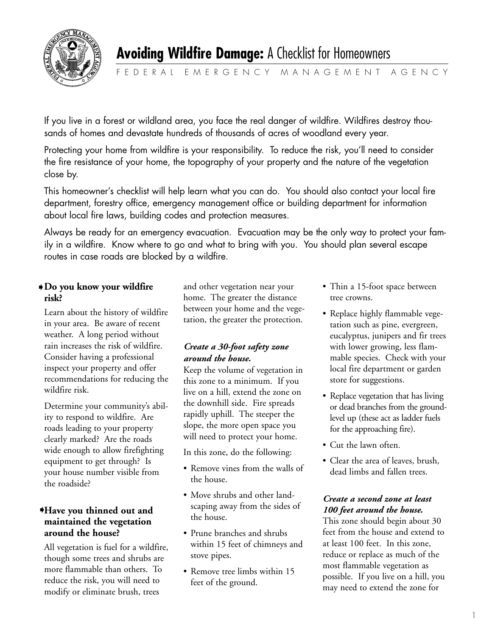

**Avoiding Wildfire Damage:** A Checklist for Homeowners

FEDERAL EMERGENCY MANAGEMENT AGENCY

If you live in a forest or wildland area, you face the real danger of wildfire. Wildfires destroy thousands of homes and devastate hundreds of thousands of acres of woodland every year.

Protecting your home from wildfire is your responsibility. To reduce the risk, you'll need to consider the fire resistance of your home, the topography of your property and the nature of the vegetation close by.

This homeowner's checklist will help learn what you can do. You should also contact your local fire department, forestry office, emergency management office or building department for information about local fire laws, building codes and protection measures.

Always be ready for an emergency evacuation. Evacuation may be the only way to protect your family in a wildfire. Know where to go and what to bring with you. You should plan several escape routes in case roads are blocked by a wildfire.

### **Do you know your wildfire** ➧ **risk?**

Learn about the history of wildfire in your area. Be aware of recent weather. A long period without rain increases the risk of wildfire. Consider having a professional inspect your property and offer recommendations for reducing the wildfire risk.

Determine your community's ability to respond to wildfire. Are roads leading to your property clearly marked? Are the roads wide enough to allow firefighting equipment to get through? Is your house number visible from the roadside?

#### **Have you thinned out and** ➧**maintained the vegetation around the house?**

All vegetation is fuel for a wildfire, though some trees and shrubs are more flammable than others. To reduce the risk, you will need to modify or eliminate brush, trees

and other vegetation near your home. The greater the distance between your home and the vegetation, the greater the protection.

## *Create a 30-foot safety zone around the house.*

Keep the volume of vegetation in this zone to a minimum. If you live on a hill, extend the zone on the downhill side. Fire spreads rapidly uphill. The steeper the slope, the more open space you will need to protect your home.

In this zone, do the following:

- Remove vines from the walls of the house.
- Move shrubs and other landscaping away from the sides of the house.
- Prune branches and shrubs within 15 feet of chimneys and stove pipes.
- Remove tree limbs within 15 feet of the ground.
- Thin a 15-foot space between tree crowns.
- Replace highly flammable vegetation such as pine, evergreen, eucalyptus, junipers and fir trees with lower growing, less flammable species. Check with your local fire department or garden store for suggestions.
- Replace vegetation that has living or dead branches from the groundlevel up (these act as ladder fuels for the approaching fire).
- Cut the lawn often.
- Clear the area of leaves, brush, dead limbs and fallen trees.

#### *Create a second zone at least 100 feet around the house.*

This zone should begin about 30 feet from the house and extend to at least 100 feet. In this zone, reduce or replace as much of the most flammable vegetation as possible. If you live on a hill, you may need to extend the zone for